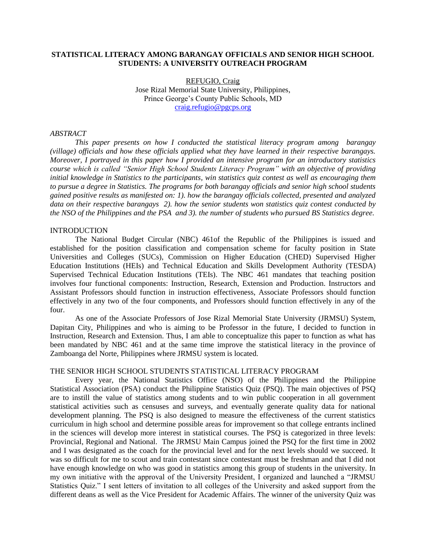### **STATISTICAL LITERACY AMONG BARANGAY OFFICIALS AND SENIOR HIGH SCHOOL STUDENTS: A UNIVERSITY OUTREACH PROGRAM**

REFUGIO, Craig Jose Rizal Memorial State University, Philippines, Prince George's County Public Schools, MD [craig.refugio@pgcps.org](mailto:craig.refugio@pgcps.org)

### *ABSTRACT*

*This paper presents on how I conducted the statistical literacy program among barangay (village) officials and how these officials applied what they have learned in their respective barangays. Moreover, I portrayed in this paper how I provided an intensive program for an introductory statistics course which is called "Senior High School Students Literacy Program" with an objective of providing initial knowledge in Statistics to the participants, win statistics quiz contest as well as encouraging them to pursue a degree in Statistics. The programs for both barangay officials and senior high school students gained positive results as manifested on: 1). how the barangay officials collected, presented and analyzed data on their respective barangays 2). how the senior students won statistics quiz contest conducted by the NSO of the Philippines and the PSA and 3). the number of students who pursued BS Statistics degree.*

### **INTRODUCTION**

The National Budget Circular (NBC) 461of the Republic of the Philippines is issued and established for the position classification and compensation scheme for faculty position in State Universities and Colleges (SUCs), Commission on Higher Education (CHED) Supervised Higher Education Institutions (HEIs) and Technical Education and Skills Development Authority (TESDA) Supervised Technical Education Institutions (TEIs). The NBC 461 mandates that teaching position involves four functional components: Instruction, Research, Extension and Production. Instructors and Assistant Professors should function in instruction effectiveness, Associate Professors should function effectively in any two of the four components, and Professors should function effectively in any of the four.

As one of the Associate Professors of Jose Rizal Memorial State University (JRMSU) System, Dapitan City, Philippines and who is aiming to be Professor in the future, I decided to function in Instruction, Research and Extension. Thus, I am able to conceptualize this paper to function as what has been mandated by NBC 461 and at the same time improve the statistical literacy in the province of Zamboanga del Norte, Philippines where JRMSU system is located.

### THE SENIOR HIGH SCHOOL STUDENTS STATISTICAL LITERACY PROGRAM

Every year, the National Statistics Office (NSO) of the Philippines and the Philippine Statistical Association (PSA) conduct the Philippine Statistics Quiz (PSQ). The main objectives of PSQ are to instill the value of statistics among students and to win public cooperation in all government statistical activities such as censuses and surveys, and eventually generate quality data for national development planning. The PSQ is also designed to measure the effectiveness of the current statistics curriculum in high school and determine possible areas for improvement so that college entrants inclined in the sciences will develop more interest in statistical courses. The PSQ is categorized in three levels: Provincial, Regional and National. The JRMSU Main Campus joined the PSQ for the first time in 2002 and I was designated as the coach for the provincial level and for the next levels should we succeed. It was so difficult for me to scout and train contestant since contestant must be freshman and that I did not have enough knowledge on who was good in statistics among this group of students in the university. In my own initiative with the approval of the University President, I organized and launched a "JRMSU Statistics Quiz." I sent letters of invitation to all colleges of the University and asked support from the different deans as well as the Vice President for Academic Affairs. The winner of the university Quiz was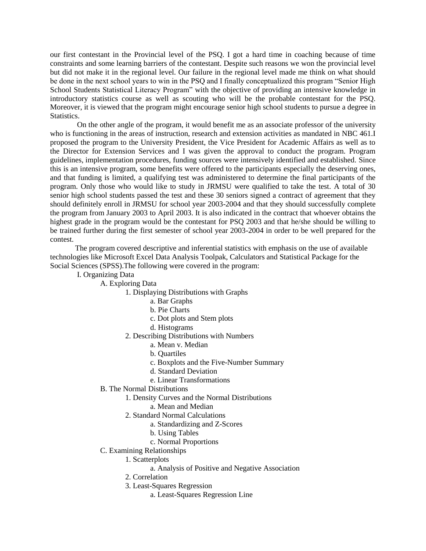our first contestant in the Provincial level of the PSQ. I got a hard time in coaching because of time constraints and some learning barriers of the contestant. Despite such reasons we won the provincial level but did not make it in the regional level. Our failure in the regional level made me think on what should be done in the next school years to win in the PSQ and I finally conceptualized this program "Senior High School Students Statistical Literacy Program" with the objective of providing an intensive knowledge in introductory statistics course as well as scouting who will be the probable contestant for the PSQ. Moreover, it is viewed that the program might encourage senior high school students to pursue a degree in Statistics.

On the other angle of the program, it would benefit me as an associate professor of the university who is functioning in the areas of instruction, research and extension activities as mandated in NBC 461.I proposed the program to the University President, the Vice President for Academic Affairs as well as to the Director for Extension Services and I was given the approval to conduct the program. Program guidelines, implementation procedures, funding sources were intensively identified and established. Since this is an intensive program, some benefits were offered to the participants especially the deserving ones, and that funding is limited, a qualifying test was administered to determine the final participants of the program. Only those who would like to study in JRMSU were qualified to take the test. A total of 30 senior high school students passed the test and these 30 seniors signed a contract of agreement that they should definitely enroll in JRMSU for school year 2003-2004 and that they should successfully complete the program from January 2003 to April 2003. It is also indicated in the contract that whoever obtains the highest grade in the program would be the contestant for PSQ 2003 and that he/she should be willing to be trained further during the first semester of school year 2003-2004 in order to be well prepared for the contest.

The program covered descriptive and inferential statistics with emphasis on the use of available technologies like Microsoft Excel Data Analysis Toolpak, Calculators and Statistical Package for the Social Sciences (SPSS).The following were covered in the program:

I. Organizing Data

A. Exploring Data

1. Displaying Distributions with Graphs

- a. Bar Graphs
- b. Pie Charts
- c. Dot plots and Stem plots
- d. Histograms
- 2. Describing Distributions with Numbers
	- a. Mean v. Median
	- b. Quartiles
	- c. Boxplots and the Five-Number Summary
	- d. Standard Deviation
	- e. Linear Transformations
- B. The Normal Distributions
	- 1. Density Curves and the Normal Distributions
		- a. Mean and Median
	- 2. Standard Normal Calculations
		- a. Standardizing and Z-Scores
		- b. Using Tables
		- c. Normal Proportions
- C. Examining Relationships
	- 1. Scatterplots
		- a. Analysis of Positive and Negative Association
	- 2. Correlation
	- 3. Least-Squares Regression
		- a. Least-Squares Regression Line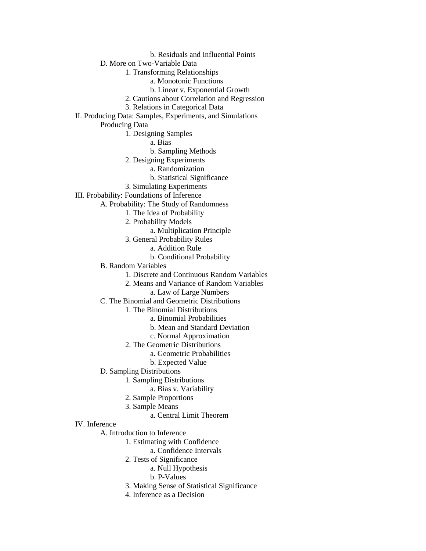b. Residuals and Influential Points

D. More on Two-Variable Data

1. Transforming Relationships

- a. Monotonic Functions
- b. Linear v. Exponential Growth
- 2. Cautions about Correlation and Regression
- 3. Relations in Categorical Data
- II. Producing Data: Samples, Experiments, and Simulations

Producing Data

1. Designing Samples

a. Bias

- b. Sampling Methods
- 2. Designing Experiments
	- a. Randomization
		- b. Statistical Significance
- 3. Simulating Experiments

III. Probability: Foundations of Inference

- A. Probability: The Study of Randomness
	- 1. The Idea of Probability
	- 2. Probability Models
		- a. Multiplication Principle
	- 3. General Probability Rules
		- a. Addition Rule
		- b. Conditional Probability
	- B. Random Variables
		- 1. Discrete and Continuous Random Variables
		- 2. Means and Variance of Random Variables
			- a. Law of Large Numbers
	- C. The Binomial and Geometric Distributions
		- 1. The Binomial Distributions
			- a. Binomial Probabilities
				- b. Mean and Standard Deviation
				- c. Normal Approximation
		- 2. The Geometric Distributions
			- a. Geometric Probabilities
			- b. Expected Value
	- D. Sampling Distributions
		- 1. Sampling Distributions
			- a. Bias v. Variability
		- 2. Sample Proportions
		- 3. Sample Means
			- a. Central Limit Theorem
- IV. Inference
	- A. Introduction to Inference
		- 1. Estimating with Confidence
			- a. Confidence Intervals
		- 2. Tests of Significance
			- a. Null Hypothesis
				- b. P-Values
		- 3. Making Sense of Statistical Significance
		- 4. Inference as a Decision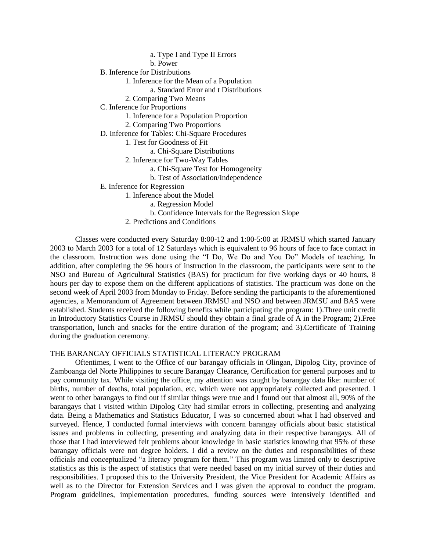a. Type I and Type II Errors

b. Power

B. Inference for Distributions

1. Inference for the Mean of a Population

- a. Standard Error and t Distributions
- 2. Comparing Two Means

C. Inference for Proportions

1. Inference for a Population Proportion

2. Comparing Two Proportions

D. Inference for Tables: Chi-Square Procedures

1. Test for Goodness of Fit

a. Chi-Square Distributions

2. Inference for Two-Way Tables

a. Chi-Square Test for Homogeneity

b. Test of Association/Independence

E. Inference for Regression

1. Inference about the Model

a. Regression Model

- b. Confidence Intervals for the Regression Slope
- 2. Predictions and Conditions

Classes were conducted every Saturday 8:00-12 and 1:00-5:00 at JRMSU which started January 2003 to March 2003 for a total of 12 Saturdays which is equivalent to 96 hours of face to face contact in the classroom. Instruction was done using the "I Do, We Do and You Do" Models of teaching. In addition, after completing the 96 hours of instruction in the classroom, the participants were sent to the NSO and Bureau of Agricultural Statistics (BAS) for practicum for five working days or 40 hours, 8 hours per day to expose them on the different applications of statistics. The practicum was done on the second week of April 2003 from Monday to Friday. Before sending the participants to the aforementioned agencies, a Memorandum of Agreement between JRMSU and NSO and between JRMSU and BAS were established. Students received the following benefits while participating the program: 1).Three unit credit in Introductory Statistics Course in JRMSU should they obtain a final grade of A in the Program; 2).Free transportation, lunch and snacks for the entire duration of the program; and 3).Certificate of Training during the graduation ceremony.

# THE BARANGAY OFFICIALS STATISTICAL LITERACY PROGRAM

Oftentimes, I went to the Office of our barangay officials in Olingan, Dipolog City, province of Zamboanga del Norte Philippines to secure Barangay Clearance, Certification for general purposes and to pay community tax. While visiting the office, my attention was caught by barangay data like: number of births, number of deaths, total population, etc. which were not appropriately collected and presented. I went to other barangays to find out if similar things were true and I found out that almost all, 90% of the barangays that I visited within Dipolog City had similar errors in collecting, presenting and analyzing data. Being a Mathematics and Statistics Educator, I was so concerned about what I had observed and surveyed. Hence, I conducted formal interviews with concern barangay officials about basic statistical issues and problems in collecting, presenting and analyzing data in their respective barangays. All of those that I had interviewed felt problems about knowledge in basic statistics knowing that 95% of these barangay officials were not degree holders. I did a review on the duties and responsibilities of these officials and conceptualized "a literacy program for them." This program was limited only to descriptive statistics as this is the aspect of statistics that were needed based on my initial survey of their duties and responsibilities. I proposed this to the University President, the Vice President for Academic Affairs as well as to the Director for Extension Services and I was given the approval to conduct the program. Program guidelines, implementation procedures, funding sources were intensively identified and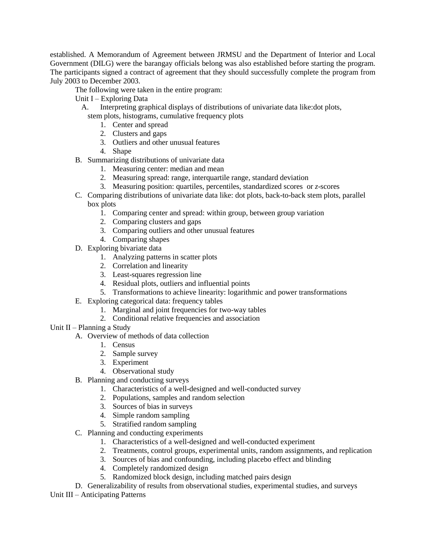established. A Memorandum of Agreement between JRMSU and the Department of Interior and Local Government (DILG) were the barangay officials belong was also established before starting the program. The participants signed a contract of agreement that they should successfully complete the program from July 2003 to December 2003.

The following were taken in the entire program:

Unit I – Exploring Data

A. Interpreting graphical displays of distributions of univariate data like:dot plots,

stem plots, histograms, cumulative frequency plots

- 1. Center and spread
- 2. Clusters and gaps
- 3. Outliers and other unusual features
- 4. Shape
- B. Summarizing distributions of univariate data
	- 1. Measuring center: median and mean
	- 2. Measuring spread: range, interquartile range, standard deviation
	- 3. Measuring position: quartiles, percentiles, standardized scores or *z*-scores
- C. Comparing distributions of univariate data like: dot plots, back-to-back stem plots, parallel box plots
	- 1. Comparing center and spread: within group, between group variation
	- 2. Comparing clusters and gaps
	- 3. Comparing outliers and other unusual features
	- 4. Comparing shapes
- D. Exploring bivariate data
	- 1. Analyzing patterns in scatter plots
	- 2. Correlation and linearity
	- 3. Least-squares regression line
	- 4. Residual plots, outliers and influential points
	- 5. Transformations to achieve linearity: logarithmic and power transformations
- E. Exploring categorical data: frequency tables
	- 1. Marginal and joint frequencies for two-way tables
	- 2. Conditional relative frequencies and association

# Unit II – Planning a Study

- A. Overview of methods of data collection
	- 1. Census
	- 2. Sample survey
	- 3. Experiment
	- 4. Observational study
- B. Planning and conducting surveys
	- 1. Characteristics of a well-designed and well-conducted survey
	- 2. Populations, samples and random selection
	- 3. Sources of bias in surveys
	- 4. Simple random sampling
	- 5. Stratified random sampling
- C. Planning and conducting experiments
	- 1. Characteristics of a well-designed and well-conducted experiment
	- 2. Treatments, control groups, experimental units, random assignments, and replication
	- 3. Sources of bias and confounding, including placebo effect and blinding
	- 4. Completely randomized design
	- 5. Randomized block design, including matched pairs design

D. Generalizability of results from observational studies, experimental studies, and surveys

Unit III – Anticipating Patterns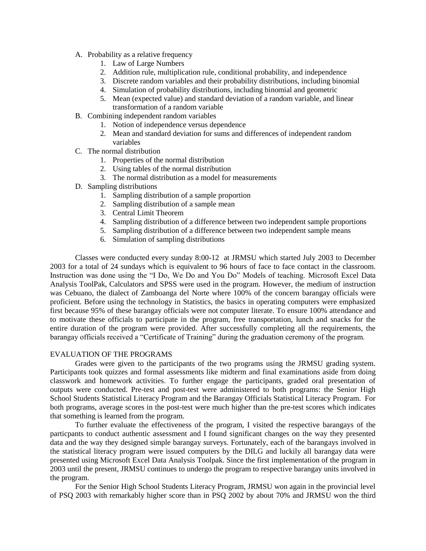- A. Probability as a relative frequency
	- 1. Law of Large Numbers
	- 2. Addition rule, multiplication rule, conditional probability, and independence
	- 3. Discrete random variables and their probability distributions, including binomial
	- 4. Simulation of probability distributions, including binomial and geometric
	- 5. Mean (expected value) and standard deviation of a random variable, and linear transformation of a random variable
- B. Combining independent random variables
	- 1. Notion of independence versus dependence
	- 2. Mean and standard deviation for sums and differences of independent random variables
- C. The normal distribution
	- 1. Properties of the normal distribution
	- 2. Using tables of the normal distribution
	- 3. The normal distribution as a model for measurements
- D. Sampling distributions
	- 1. Sampling distribution of a sample proportion
	- 2. Sampling distribution of a sample mean
	- 3. Central Limit Theorem
	- 4. Sampling distribution of a difference between two independent sample proportions
	- 5. Sampling distribution of a difference between two independent sample means
	- 6. Simulation of sampling distributions

Classes were conducted every sunday 8:00-12 at JRMSU which started July 2003 to December 2003 for a total of 24 sundays which is equivalent to 96 hours of face to face contact in the classroom. Instruction was done using the "I Do, We Do and You Do" Models of teaching. Microsoft Excel Data Analysis ToolPak, Calculators and SPSS were used in the program. However, the medium of instruction was Cebuano, the dialect of Zamboanga del Norte where 100% of the concern barangay officials were proficient. Before using the technology in Statistics, the basics in operating computers were emphasized first because 95% of these barangay officials were not computer literate. To ensure 100% attendance and to motivate these officials to participate in the program, free transportation, lunch and snacks for the entire duration of the program were provided. After successfully completing all the requirements, the barangay officials received a "Certificate of Training" during the graduation ceremony of the program.

# EVALUATION OF THE PROGRAMS

Grades were given to the participants of the two programs using the JRMSU grading system. Participants took quizzes and formal assessments like midterm and final examinations aside from doing classwork and homework activities. To further engage the participants, graded oral presentation of outputs were conducted. Pre-test and post-test were administered to both programs: the Senior High School Students Statistical Literacy Program and the Barangay Officials Statistical Literacy Program. For both programs, average scores in the post-test were much higher than the pre-test scores which indicates that something is learned from the program.

To further evaluate the effectiveness of the program, I visited the respective barangays of the particpants to conduct authentic assessment and I found significant changes on the way they presented data and the way they designed simple barangay surveys. Fortunately, each of the barangays involved in the statistical literacy program were issued computers by the DILG and luckily all barangay data were presented using Microsoft Excel Data Analysis Toolpak. Since the first implementation of the program in 2003 until the present, JRMSU continues to undergo the program to respective barangay units involved in the program.

For the Senior High School Students Literacy Program, JRMSU won again in the provincial level of PSQ 2003 with remarkably higher score than in PSQ 2002 by about 70% and JRMSU won the third